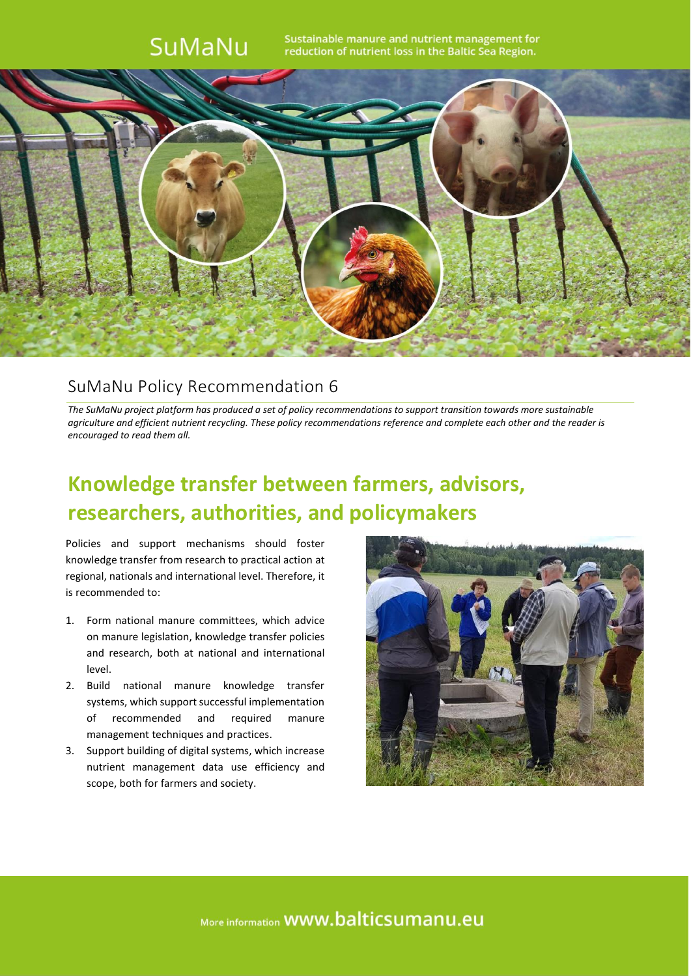## SuMaNu

Sustainable manure and nutrient management for reduction of nutrient loss in the Baltic Sea Region.



### SuMaNu Policy Recommendation 6

*The SuMaNu project platform has produced a set of policy recommendations to support transition towards more sustainable agriculture and efficient nutrient recycling. These policy recommendations reference and complete each other and the reader is encouraged to read them all.*

# **Knowledge transfer between farmers, advisors, researchers, authorities, and policymakers**

Policies and support mechanisms should foster knowledge transfer from research to practical action at regional, nationals and international level. Therefore, it is recommended to:

- 1. Form national manure committees, which advice on manure legislation, knowledge transfer policies and research, both at national and international level.
- 2. Build national manure knowledge transfer systems, which support successful implementation of recommended and required manure management techniques and practices.
- 3. Support building of digital systems, which increase nutrient management data use efficiency and scope, both for farmers and society.



More information **WWW.balticsumanu.eu**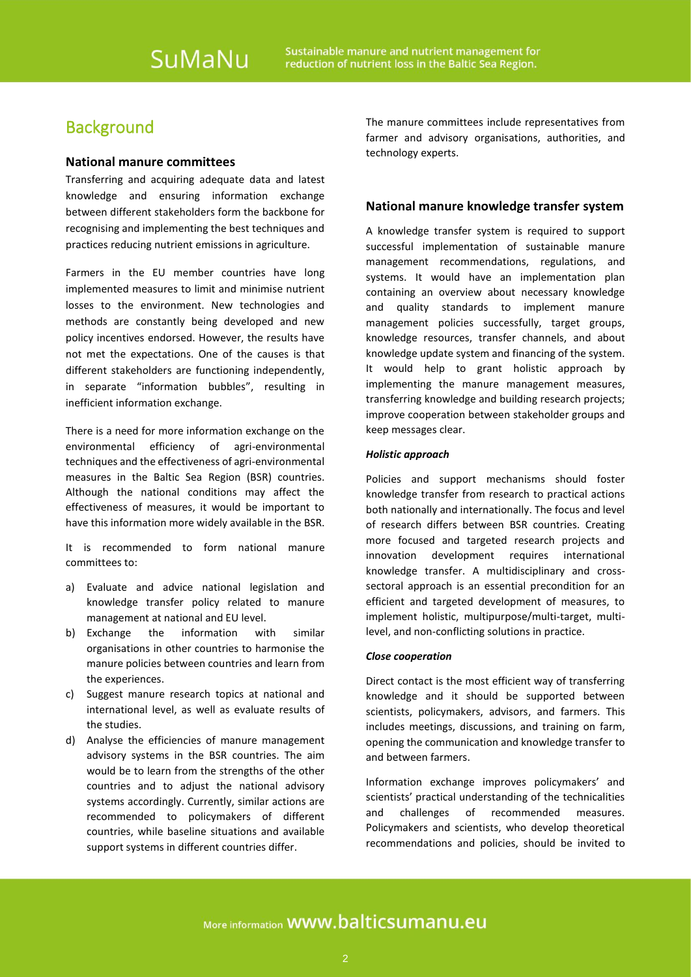### **Background**

#### **National manure committees**

Transferring and acquiring adequate data and latest knowledge and ensuring information exchange between different stakeholders form the backbone for recognising and implementing the best techniques and practices reducing nutrient emissions in agriculture.

Farmers in the EU member countries have long implemented measures to limit and minimise nutrient losses to the environment. New technologies and methods are constantly being developed and new policy incentives endorsed. However, the results have not met the expectations. One of the causes is that different stakeholders are functioning independently, in separate "information bubbles", resulting in inefficient information exchange.

There is a need for more information exchange on the environmental efficiency of agri-environmental techniques and the effectiveness of agri-environmental measures in the Baltic Sea Region (BSR) countries. Although the national conditions may affect the effectiveness of measures, it would be important to have this information more widely available in the BSR.

It is recommended to form national manure committees to:

- a) Evaluate and advice national legislation and knowledge transfer policy related to manure management at national and EU level.
- b) Exchange the information with similar organisations in other countries to harmonise the manure policies between countries and learn from the experiences.
- c) Suggest manure research topics at national and international level, as well as evaluate results of the studies.
- d) Analyse the efficiencies of manure management advisory systems in the BSR countries. The aim would be to learn from the strengths of the other countries and to adjust the national advisory systems accordingly. Currently, similar actions are recommended to policymakers of different countries, while baseline situations and available support systems in different countries differ.

The manure committees include representatives from farmer and advisory organisations, authorities, and technology experts.

#### **National manure knowledge transfer system**

A knowledge transfer system is required to support successful implementation of sustainable manure management recommendations, regulations, and systems. It would have an implementation plan containing an overview about necessary knowledge and quality standards to implement manure management policies successfully, target groups, knowledge resources, transfer channels, and about knowledge update system and financing of the system. It would help to grant holistic approach by implementing the manure management measures, transferring knowledge and building research projects; improve cooperation between stakeholder groups and keep messages clear.

#### *Holistic approach*

Policies and support mechanisms should foster knowledge transfer from research to practical actions both nationally and internationally. The focus and level of research differs between BSR countries. Creating more focused and targeted research projects and innovation development requires international knowledge transfer. A multidisciplinary and crosssectoral approach is an essential precondition for an efficient and targeted development of measures, to implement holistic, multipurpose/multi-target, multilevel, and non-conflicting solutions in practice.

#### *Close cooperation*

Direct contact is the most efficient way of transferring knowledge and it should be supported between scientists, policymakers, advisors, and farmers. This includes meetings, discussions, and training on farm, opening the communication and knowledge transfer to and between farmers.

Information exchange improves policymakers' and scientists' practical understanding of the technicalities and challenges of recommended measures. Policymakers and scientists, who develop theoretical recommendations and policies, should be invited to